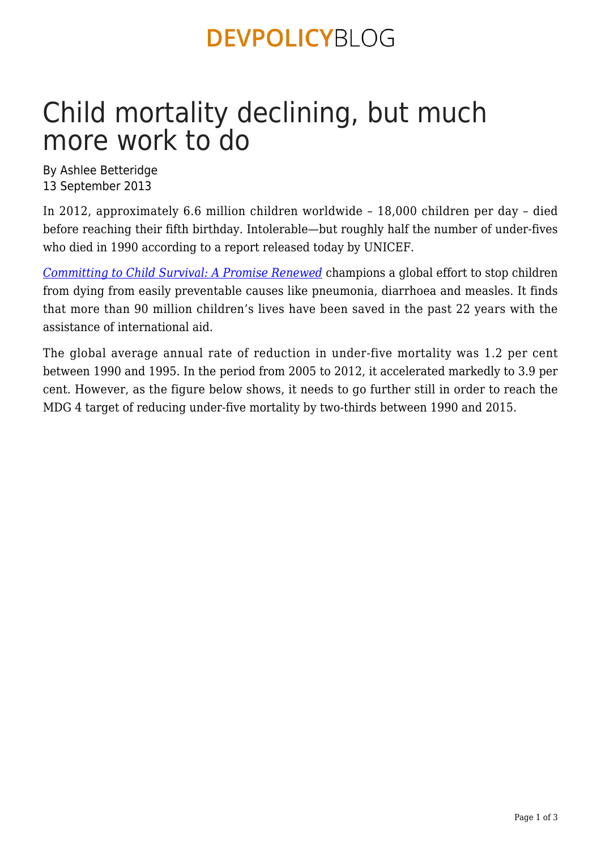### **DEVPOLICYBLOG**

# Child mortality declining, but much more work to do

By Ashlee Betteridge 13 September 2013

In 2012, approximately 6.6 million children worldwide – 18,000 children per day – died before reaching their fifth birthday. Intolerable—but roughly half the number of under-fives who died in 1990 according to a report released today by UNICEF.

*[Committing to Child Survival: A Promise Renewed](http://progressreport.apromiserenewed.org/)* champions a global effort to stop children from dying from easily preventable causes like pneumonia, diarrhoea and measles. It finds that more than 90 million children's lives have been saved in the past 22 years with the assistance of international aid.

The global average annual rate of reduction in under-five mortality was 1.2 per cent between 1990 and 1995. In the period from 2005 to 2012, it accelerated markedly to 3.9 per cent. However, as the figure below shows, it needs to go further still in order to reach the MDG 4 target of reducing under-five mortality by two-thirds between 1990 and 2015.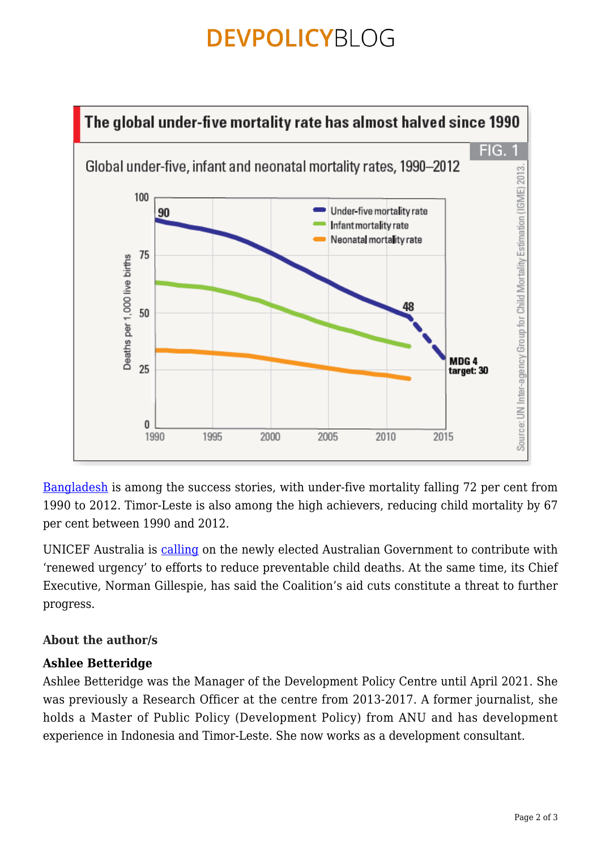### **DEVPOLICYBLOG**



[Bangladesh](http://www.unicef.org.au/Discover/News/September-2013/Bangladesh-exceeds-Millennium-Development-Goals-in.aspx) is among the success stories, with under-five mortality falling 72 per cent from 1990 to 2012. Timor-Leste is also among the high achievers, reducing child mortality by 67 per cent between 1990 and 2012.

UNICEF Australia is [calling](http://www.unicef.org.au/Media/Media-Releases/September-2013/UNICEF-Australia-calls-on-new-government-to-make-c.aspx) on the newly elected Australian Government to contribute with 'renewed urgency' to efforts to reduce preventable child deaths. At the same time, its Chief Executive, Norman Gillespie, has said the Coalition's aid cuts constitute a threat to further progress.

#### **About the author/s**

#### **Ashlee Betteridge**

Ashlee Betteridge was the Manager of the Development Policy Centre until April 2021. She was previously a Research Officer at the centre from 2013-2017. A former journalist, she holds a Master of Public Policy (Development Policy) from ANU and has development experience in Indonesia and Timor-Leste. She now works as a development consultant.